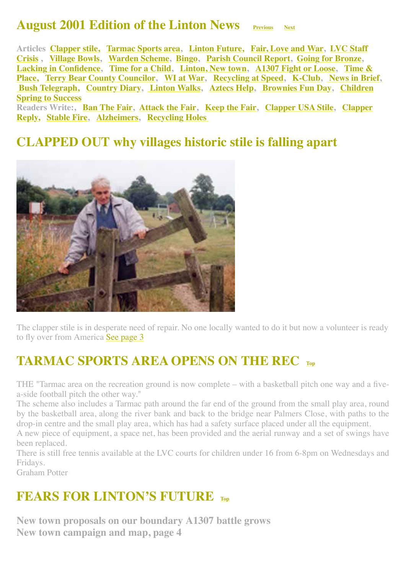#### **August 2001 Edition of the Linton News Previous** [Next](http://www.linton.info/lintonnews/0109.html)

<span id="page-0-2"></span>**[Articles Clapper stile, Tarmac Sports area, Linton Future, Fair, Love and War, LVC Staff](#page-1-1) Crisis , [Village Bowls](#page-2-0), [Warden Scheme](#page-2-1), [Bingo,](#page-2-2) [Parish Council Report,](#page-2-3) [Going for Bronze](#page-3-0), [Lacking in Confidenc](#page-3-1)[e,](#page-8-1) [Time for a Chil](#page-4-0)[d,](#page-8-1) [Linton, New town](#page-6-0)[, A](#page-8-1)[1307 Fight or Loos](#page-8-0)[e, Time &](#page-8-1) Place, [Terry Bear County Councilor](#page-7-0), [WI at War,](#page-9-0) [Recycling at Speed,](#page-9-1) [K-Club,](http://www.linton.info/lintonnews/0108.html#K-CLUB%E2%80%99S) [News in Brief,](#page-11-0)  [Bush Telegraph,](#page-11-1)[Country Diar](#page-11-2)[y,](#page-13-2) [Linton Walk](#page-12-0)[s,](#page-13-2) [Aztecs Hel](#page-13-0)[p,](#page-13-2) [Brownies Fun Da](#page-13-1)[y, Children](#page-13-2) Spring to Success**

**[Readers Write:,](#page-6-2) [Ban The Fai](#page-4-1)[r,](#page-6-2) [Attack the Fair](#page-4-2)[, K](#page-6-2)[eep the Fai](#page-5-0)[r, C](#page-6-2)[lapper USA Stil](#page-6-1)[e, Clapper](#page-6-2) Reply, [Stable Fire](#page-5-1), [Alzheimers](#page-5-2), [Recycling Holes](#page-5-3)** 

#### <span id="page-0-0"></span>**CLAPPED OUT why villages historic stile is falling apart**



The clapper stile is in desperate need of repair. No one locally wanted to do it but now a volunteer is ready to fly over from America [See page 3](#page-6-1)

#### <span id="page-0-1"></span>**TARMAC SPORTS AREA OPENS ON THE REC [Top](#page-0-2)**

THE "Tarmac area on the recreation ground is now complete – with a basketball pitch one way and a fivea-side football pitch the other way."

The scheme also includes a Tarmac path around the far end of the ground from the small play area, round by the basketball area, along the river bank and back to the bridge near Palmers Close, with paths to the drop-in centre and the small play area, which has had a safety surface placed under all the equipment.

A new piece of equipment, a space net, has been provided and the aerial runway and a set of swings have been replaced.

There is still free tennis available at the LVC courts for children under 16 from 6-8pm on Wednesdays and Fridays.

Graham Potter

#### **FEARS FOR LINTON'S FUTURE [Top](#page-0-2)**

**New town proposals on our boundary A1307 battle grows New town campaign and map, page 4**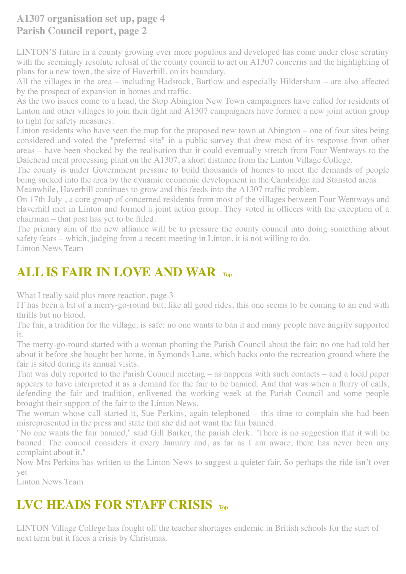#### **A1307 organisation set up, page 4 Parish Council report, page 2**

LINTON'S future in a county growing ever more populous and developed has come under close scrutiny with the seemingly resolute refusal of the county council to act on A1307 concerns and the highlighting of plans for a new town, the size of Haverhill, on its boundary.

All the villages in the area – including Hadstock, Bartlow and especially Hildersham – are also affected by the prospect of expansion in homes and traffic.

As the two issues come to a head, the Stop Abington New Town campaigners have called for residents of Linton and other villages to join their fight and A1307 campaigners have formed a new joint action group to fight for safety measures.

Linton residents who have seen the map for the proposed new town at Abington – one of four sites being considered and voted the "preferred site" in a public survey that drew most of its response from other areas – have been shocked by the realisation that it could eventually stretch from Four Wentways to the Dalehead meat processing plant on the A1307, a short distance from the Linton Village College.

The county is under Government pressure to build thousands of homes to meet the demands of people being sucked into the area by the dynamic economic development in the Cambridge and Stansted areas.

Meanwhile, Haverhill continues to grow and this feeds into the A1307 traffic problem. On 17th July , a core group of concerned residents from most of the villages between Four Wentways and

Haverhill met in Linton and formed a joint action group. They voted in officers with the exception of a chairman – that post has yet to be filled.

The primary aim of the new alliance will be to pressure the county council into doing something about safety fears – which, judging from a recent meeting in Linton, it is not willing to do.

Linton News Team

### <span id="page-1-0"></span>**ALL IS FAIR IN LOVE AND WAR [Top](#page-0-2)**

What I really said plus more reaction, page 3

IT has been a bit of a merry-go-round but, like all good rides, this one seems to be coming to an end with thrills but no blood.

The fair, a tradition for the village, is safe: no one wants to ban it and many people have angrily supported it.

The merry-go-round started with a woman phoning the Parish Council about the fair: no one had told her about it before she bought her home, in Symonds Lane, which backs onto the recreation ground where the fair is sited during its annual visits.

That was duly reported to the Parish Council meeting – as happens with such contacts – and a local paper appears to have interpreted it as a demand for the fair to be banned. And that was when a flurry of calls, defending the fair and tradition, enlivened the working week at the Parish Council and some people brought their support of the fair to the Linton News.

The woman whose call started it, Sue Perkins, again telephoned – this time to complain she had been misrepresented in the press and state that she did not want the fair banned.

"No one wants the fair banned," said Gill Barker, the parish clerk. "There is no suggestion that it will be banned. The council considers it every January and, as far as I am aware, there has never been any complaint about it."

Now Mrs Perkins has written to the Linton News to suggest a quieter fair. So perhaps the ride isn't over yet

Linton News Team

### <span id="page-1-1"></span>**LVC HEADS FOR STAFF CRISIS [Top](#page-0-2)**

LINTON Village College has fought off the teacher shortages endemic in British schools for the start of next term but it faces a crisis by Christmas.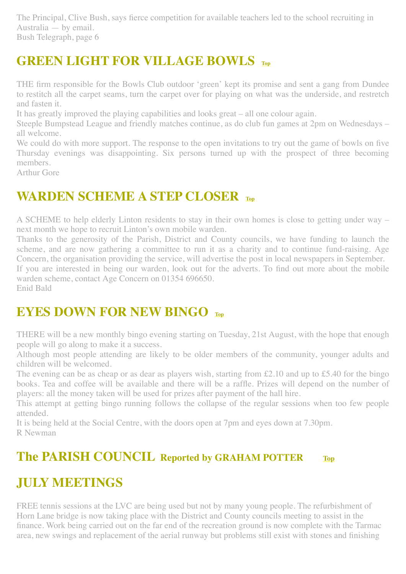The Principal, Clive Bush, says fierce competition for available teachers led to the school recruiting in Australia — by email. Bush Telegraph, page 6

### <span id="page-2-0"></span>**GREEN LIGHT FOR VILLAGE BOWLS [Top](#page-0-2)**

THE firm responsible for the Bowls Club outdoor 'green' kept its promise and sent a gang from Dundee to restitch all the carpet seams, turn the carpet over for playing on what was the underside, and restretch and fasten it.

It has greatly improved the playing capabilities and looks great – all one colour again.

Steeple Bumpstead League and friendly matches continue, as do club fun games at 2pm on Wednesdays – all welcome.

We could do with more support. The response to the open invitations to try out the game of bowls on five Thursday evenings was disappointing. Six persons turned up with the prospect of three becoming members.

Arthur Gore

#### <span id="page-2-1"></span>**WARDEN SCHEME A STEP CLOSER [Top](#page-0-2)**

A SCHEME to help elderly Linton residents to stay in their own homes is close to getting under way – next month we hope to recruit Linton's own mobile warden.

Thanks to the generosity of the Parish, District and County councils, we have funding to launch the scheme, and are now gathering a committee to run it as a charity and to continue fund-raising. Age Concern, the organisation providing the service, will advertise the post in local newspapers in September.

If you are interested in being our warden, look out for the adverts. To find out more about the mobile warden scheme, contact Age Concern on 01354 696650.

Enid Bald

#### <span id="page-2-2"></span>**EYES DOWN FOR NEW BINGO**

THERE will be a new monthly bingo evening starting on Tuesday, 21st August, with the hope that enough people will go along to make it a success.

Although most people attending are likely to be older members of the community, younger adults and children will be welcomed.

The evening can be as cheap or as dear as players wish, starting from £2.10 and up to £5.40 for the bingo books. Tea and coffee will be available and there will be a raffle. Prizes will depend on the number of players: all the money taken will be used for prizes after payment of the hall hire.

This attempt at getting bingo running follows the collapse of the regular sessions when too few people attended.

It is being held at the Social Centre, with the doors open at 7pm and eyes down at 7.30pm. R Newman

#### <span id="page-2-3"></span>**The PARISH COUNCIL Reported by GRAHAM POTTER [Top](#page-0-2)**

#### **JULY MEETINGS**

FREE tennis sessions at the LVC are being used but not by many young people. The refurbishment of Horn Lane bridge is now taking place with the District and County councils meeting to assist in the finance. Work being carried out on the far end of the recreation ground is now complete with the Tarmac area, new swings and replacement of the aerial runway but problems still exist with stones and finishing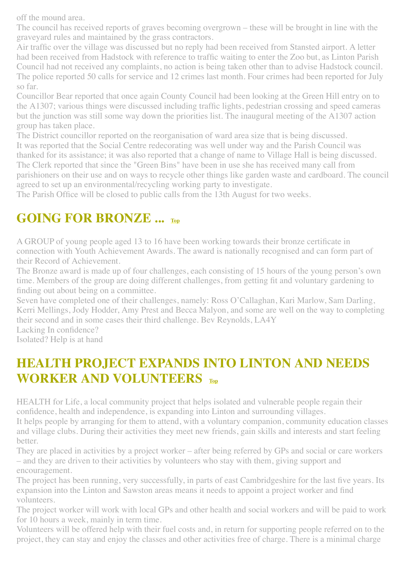off the mound area.

The council has received reports of graves becoming overgrown – these will be brought in line with the graveyard rules and maintained by the grass contractors.

Air traffic over the village was discussed but no reply had been received from Stansted airport. A letter had been received from Hadstock with reference to traffic waiting to enter the Zoo but, as Linton Parish Council had not received any complaints, no action is being taken other than to advise Hadstock council. The police reported 50 calls for service and 12 crimes last month. Four crimes had been reported for July so far.

Councillor Bear reported that once again County Council had been looking at the Green Hill entry on to the A1307; various things were discussed including traffic lights, pedestrian crossing and speed cameras but the junction was still some way down the priorities list. The inaugural meeting of the A1307 action group has taken place.

The District councillor reported on the reorganisation of ward area size that is being discussed. It was reported that the Social Centre redecorating was well under way and the Parish Council was thanked for its assistance; it was also reported that a change of name to Village Hall is being discussed. The Clerk reported that since the "Green Bins" have been in use she has received many call from parishioners on their use and on ways to recycle other things like garden waste and cardboard. The council agreed to set up an environmental/recycling working party to investigate.

The Parish Office will be closed to public calls from the 13th August for two weeks.

### <span id="page-3-0"></span>**GOING FOR BRONZE ... [Top](#page-0-2)**

A GROUP of young people aged 13 to 16 have been working towards their bronze certificate in connection with Youth Achievement Awards. The award is nationally recognised and can form part of their Record of Achievement.

The Bronze award is made up of four challenges, each consisting of 15 hours of the young person's own time. Members of the group are doing different challenges, from getting fit and voluntary gardening to finding out about being on a committee.

Seven have completed one of their challenges, namely: Ross O'Callaghan, Kari Marlow, Sam Darling, Kerri Mellings, Jody Hodder, Amy Prest and Becca Malyon, and some are well on the way to completing their second and in some cases their third challenge. Bev Reynolds, LA4Y

Lacking In confidence? Isolated? Help is at hand

### <span id="page-3-1"></span>**HEALTH PROJECT EXPANDS INTO LINTON AND NEEDS WORKER AND VOLUNTEERS [Top](#page-0-2)**

HEALTH for Life, a local community project that helps isolated and vulnerable people regain their confidence, health and independence, is expanding into Linton and surrounding villages.

It helps people by arranging for them to attend, with a voluntary companion, community education classes and village clubs. During their activities they meet new friends, gain skills and interests and start feeling better.

They are placed in activities by a project worker – after being referred by GPs and social or care workers – and they are driven to their activities by volunteers who stay with them, giving support and encouragement.

The project has been running, very successfully, in parts of east Cambridgeshire for the last five years. Its expansion into the Linton and Sawston areas means it needs to appoint a project worker and find volunteers.

The project worker will work with local GPs and other health and social workers and will be paid to work for 10 hours a week, mainly in term time.

Volunteers will be offered help with their fuel costs and, in return for supporting people referred on to the project, they can stay and enjoy the classes and other activities free of charge. There is a minimal charge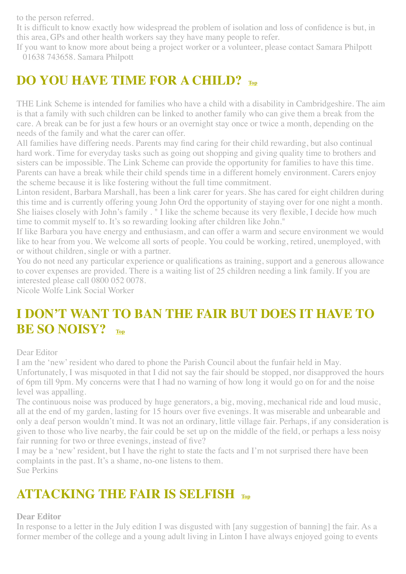to the person referred.

It is difficult to know exactly how widespread the problem of isolation and loss of confidence is but, in this area, GPs and other health workers say they have many people to refer.

If you want to know more about being a project worker or a volunteer, please contact Samara Philpott 01638 743658. Samara Philpott

### <span id="page-4-0"></span>**DO YOU HAVE TIME FOR A CHILD? [Top](#page-0-2)**

THE Link Scheme is intended for families who have a child with a disability in Cambridgeshire. The aim is that a family with such children can be linked to another family who can give them a break from the care. A break can be for just a few hours or an overnight stay once or twice a month, depending on the needs of the family and what the carer can offer.

All families have differing needs. Parents may find caring for their child rewarding, but also continual hard work. Time for everyday tasks such as going out shopping and giving quality time to brothers and sisters can be impossible. The Link Scheme can provide the opportunity for families to have this time. Parents can have a break while their child spends time in a different homely environment. Carers enjoy the scheme because it is like fostering without the full time commitment.

Linton resident, Barbara Marshall, has been a link carer for years. She has cared for eight children during this time and is currently offering young John Ord the opportunity of staying over for one night a month. She liaises closely with John's family . " I like the scheme because its very flexible, I decide how much time to commit myself to. It's so rewarding looking after children like John."

If like Barbara you have energy and enthusiasm, and can offer a warm and secure environment we would like to hear from you. We welcome all sorts of people. You could be working, retired, unemployed, with or without children, single or with a partner.

You do not need any particular experience or qualifications as training, support and a generous allowance to cover expenses are provided. There is a waiting list of 25 children needing a link family. If you are interested please call 0800 052 0078.

Nicole Wolfe Link Social Worker

### <span id="page-4-1"></span>**I DON'T WANT TO BAN THE FAIR BUT DOES IT HAVE TO BE SO NOISY? [Top](#page-0-2)**

#### Dear Editor

I am the 'new' resident who dared to phone the Parish Council about the funfair held in May.

Unfortunately, I was misquoted in that I did not say the fair should be stopped, nor disapproved the hours of 6pm till 9pm. My concerns were that I had no warning of how long it would go on for and the noise level was appalling.

The continuous noise was produced by huge generators, a big, moving, mechanical ride and loud music, all at the end of my garden, lasting for 15 hours over five evenings. It was miserable and unbearable and only a deaf person wouldn't mind. It was not an ordinary, little village fair. Perhaps, if any consideration is given to those who live nearby, the fair could be set up on the middle of the field, or perhaps a less noisy fair running for two or three evenings, instead of five?

I may be a 'new' resident, but I have the right to state the facts and I'm not surprised there have been complaints in the past. It's a shame, no-one listens to them. Sue Perkins

# <span id="page-4-2"></span>**ATTACKING THE FAIR IS SELFISH [Top](#page-0-2)**

#### **Dear Editor**

In response to a letter in the July edition I was disgusted with [any suggestion of banning] the fair. As a former member of the college and a young adult living in Linton I have always enjoyed going to events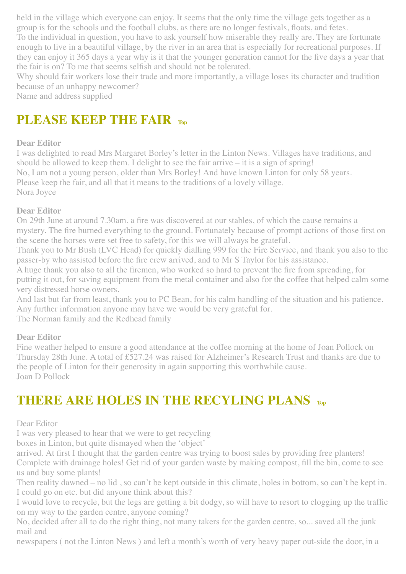held in the village which everyone can enjoy. It seems that the only time the village gets together as a group is for the schools and the football clubs, as there are no longer festivals, floats, and fetes.

To the individual in question, you have to ask yourself how miserable they really are. They are fortunate enough to live in a beautiful village, by the river in an area that is especially for recreational purposes. If they can enjoy it 365 days a year why is it that the younger generation cannot for the five days a year that the fair is on? To me that seems selfish and should not be tolerated.

Why should fair workers lose their trade and more importantly, a village loses its character and tradition because of an unhappy newcomer?

Name and address supplied

### <span id="page-5-0"></span>**PLEASE KEEP THE FAIR [Top](#page-0-2)**

#### **Dear Editor**

I was delighted to read Mrs Margaret Borley's letter in the Linton News. Villages have traditions, and should be allowed to keep them. I delight to see the fair arrive – it is a sign of spring! No, I am not a young person, older than Mrs Borley! And have known Linton for only 58 years. Please keep the fair, and all that it means to the traditions of a lovely village. Nora Joyce

#### <span id="page-5-1"></span>**Dear Editor**

On 29th June at around 7.30am, a fire was discovered at our stables, of which the cause remains a mystery. The fire burned everything to the ground. Fortunately because of prompt actions of those first on the scene the horses were set free to safety, for this we will always be grateful.

Thank you to Mr Bush (LVC Head) for quickly dialling 999 for the Fire Service, and thank you also to the passer-by who assisted before the fire crew arrived, and to Mr S Taylor for his assistance.

A huge thank you also to all the firemen, who worked so hard to prevent the fire from spreading, for putting it out, for saving equipment from the metal container and also for the coffee that helped calm some very distressed horse owners.

And last but far from least, thank you to PC Bean, for his calm handling of the situation and his patience. Any further information anyone may have we would be very grateful for.

The Norman family and the Redhead family

#### <span id="page-5-2"></span>**Dear Editor**

Fine weather helped to ensure a good attendance at the coffee morning at the home of Joan Pollock on Thursday 28th June. A total of £527.24 was raised for Alzheimer's Research Trust and thanks are due to the people of Linton for their generosity in again supporting this worthwhile cause. Joan D Pollock

# <span id="page-5-3"></span>**THERE ARE HOLES IN THE RECYLING PLANS [Top](#page-0-2)**

#### Dear Editor

I was very pleased to hear that we were to get recycling

boxes in Linton, but quite dismayed when the 'object'

arrived. At first I thought that the garden centre was trying to boost sales by providing free planters!

Complete with drainage holes! Get rid of your garden waste by making compost, fill the bin, come to see us and buy some plants!

Then reality dawned – no lid , so can't be kept outside in this climate, holes in bottom, so can't be kept in. I could go on etc. but did anyone think about this?

I would love to recycle, but the legs are getting a bit dodgy, so will have to resort to clogging up the traffic on my way to the garden centre, anyone coming?

No, decided after all to do the right thing, not many takers for the garden centre, so... saved all the junk mail and

newspapers ( not the Linton News ) and left a month's worth of very heavy paper out-side the door, in a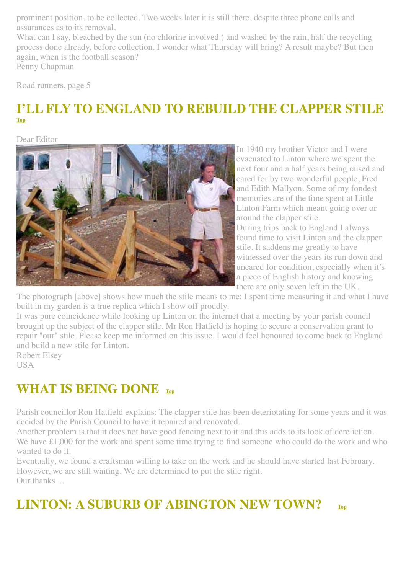prominent position, to be collected. Two weeks later it is still there, despite three phone calls and assurances as to its removal.

What can I say, bleached by the sun (no chlorine involved) and washed by the rain, half the recycling process done already, before collection. I wonder what Thursday will bring? A result maybe? But then again, when is the football season?

Penny Chapman

Road runners, page 5

#### **I'LL FLY TO ENGLAND TO REBUILD THE CLAPPER STILE [Top](#page-0-2)**

Dear Editor



<span id="page-6-1"></span>In 1940 my brother Victor and I were evacuated to Linton where we spent the next four and a half years being raised and cared for by two wonderful people, Fred and Edith Mallyon. Some of my fondest memories are of the time spent at Little Linton Farm which meant going over or around the clapper stile. During trips back to England I always

found time to visit Linton and the clapper stile. It saddens me greatly to have witnessed over the years its run down and uncared for condition, especially when it's a piece of English history and knowing there are only seven left in the UK.

The photograph [above] shows how much the stile means to me: I spent time measuring it and what I have built in my garden is a true replica which I show off proudly.

It was pure coincidence while looking up Linton on the internet that a meeting by your parish council brought up the subject of the clapper stile. Mr Ron Hatfield is hoping to secure a conservation grant to repair "our" stile. Please keep me informed on this issue. I would feel honoured to come back to England and build a new stile for Linton.

Robert Elsey

**USA** 

### <span id="page-6-2"></span>**WHAT IS BEING DONE [Top](#page-0-2)**

Parish councillor Ron Hatfield explains: The clapper stile has been deteriotating for some years and it was decided by the Parish Council to have it repaired and renovated.

Another problem is that it does not have good fencing next to it and this adds to its look of dereliction.

We have £1,000 for the work and spent some time trying to find someone who could do the work and who wanted to do it.

Eventually, we found a craftsman willing to take on the work and he should have started last February. However, we are still waiting. We are determined to put the stile right. Our thanks ...

# <span id="page-6-0"></span>**LINTON: A SUBURB OF ABINGTON NEW TOWN? [Top](#page-0-2)**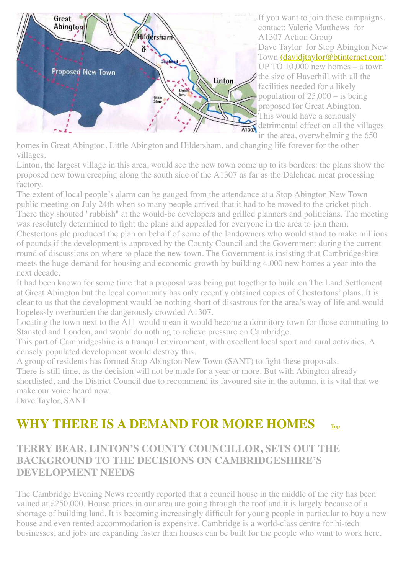

If you want to join these campaigns, contact: Valerie Matthews for A1307 Action Group Dave Taylor for Stop Abington New Town [\(davidjtaylor@btinternet.com](mailto:(davidjtaylor@btinternet.com)) UP TO 10,000 new homes – a town the size of Haverhill with all the facilities needed for a likely population of  $25,000 -$  is being proposed for Great Abington. This would have a seriously detrimental effect on all the villages in the area, overwhelming the 650

homes in Great Abington, Little Abington and Hildersham, and changing life forever for the other villages.

Linton, the largest village in this area, would see the new town come up to its borders: the plans show the proposed new town creeping along the south side of the A1307 as far as the Dalehead meat processing factory.

The extent of local people's alarm can be gauged from the attendance at a Stop Abington New Town public meeting on July 24th when so many people arrived that it had to be moved to the cricket pitch. There they shouted "rubbish" at the would-be developers and grilled planners and politicians. The meeting was resolutely determined to fight the plans and appealed for everyone in the area to join them. Chestertons plc produced the plan on behalf of some of the landowners who would stand to make millions of pounds if the development is approved by the County Council and the Government during the current round of discussions on where to place the new town. The Government is insisting that Cambridgeshire meets the huge demand for housing and economic growth by building 4,000 new homes a year into the next decade.

It had been known for some time that a proposal was being put together to build on The Land Settlement at Great Abington but the local community has only recently obtained copies of Chestertons' plans. It is clear to us that the development would be nothing short of disastrous for the area's way of life and would hopelessly overburden the dangerously crowded A1307.

Locating the town next to the A11 would mean it would become a dormitory town for those commuting to Stansted and London, and would do nothing to relieve pressure on Cambridge.

This part of Cambridgeshire is a tranquil environment, with excellent local sport and rural activities. A densely populated development would destroy this.

A group of residents has formed Stop Abington New Town (SANT) to fight these proposals. There is still time, as the decision will not be made for a year or more. But with Abington already shortlisted, and the District Council due to recommend its favoured site in the autumn, it is vital that we make our voice heard now.

Dave Taylor, SANT

# <span id="page-7-0"></span>**WHY THERE IS A DEMAND FOR MORE HOMES [Top](#page-0-2)**

**TERRY BEAR, LINTON'S COUNTY COUNCILLOR, SETS OUT THE BACKGROUND TO THE DECISIONS ON CAMBRIDGESHIRE'S DEVELOPMENT NEEDS**

The Cambridge Evening News recently reported that a council house in the middle of the city has been valued at £250,000. House prices in our area are going through the roof and it is largely because of a shortage of building land. It is becoming increasingly difficult for young people in particular to buy a new house and even rented accommodation is expensive. Cambridge is a world-class centre for hi-tech businesses, and jobs are expanding faster than houses can be built for the people who want to work here.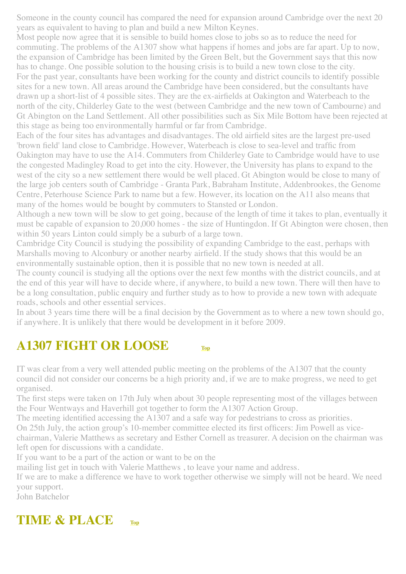Someone in the county council has compared the need for expansion around Cambridge over the next 20 years as equivalent to having to plan and build a new Milton Keynes.

Most people now agree that it is sensible to build homes close to jobs so as to reduce the need for commuting. The problems of the A1307 show what happens if homes and jobs are far apart. Up to now, the expansion of Cambridge has been limited by the Green Belt, but the Government says that this now has to change. One possible solution to the housing crisis is to build a new town close to the city. For the past year, consultants have been working for the county and district councils to identify possible sites for a new town. All areas around the Cambridge have been considered, but the consultants have drawn up a short-list of 4 possible sites. They are the ex-airfields at Oakington and Waterbeach to the north of the city, Childerley Gate to the west (between Cambridge and the new town of Cambourne) and Gt Abington on the Land Settlement. All other possibilities such as Six Mile Bottom have been rejected at this stage as being too environmentally harmful or far from Cambridge.

Each of the four sites has advantages and disadvantages. The old airfield sites are the largest pre-used 'brown field' land close to Cambridge. However, Waterbeach is close to sea-level and traffic from Oakington may have to use the A14. Commuters from Childerley Gate to Cambridge would have to use the congested Madingley Road to get into the city. However, the University has plans to expand to the west of the city so a new settlement there would be well placed. Gt Abington would be close to many of the large job centers south of Cambridge - Granta Park, Babraham Institute, Addenbrookes, the Genome Centre, Peterhouse Science Park to name but a few. However, its location on the A11 also means that many of the homes would be bought by commuters to Stansted or London.

Although a new town will be slow to get going, because of the length of time it takes to plan, eventually it must be capable of expansion to 20,000 homes - the size of Huntingdon. If Gt Abington were chosen, then within 50 years Linton could simply be a suburb of a large town.

Cambridge City Council is studying the possibility of expanding Cambridge to the east, perhaps with Marshalls moving to Alconbury or another nearby airfield. If the study shows that this would be an environmentally sustainable option, then it is possible that no new town is needed at all.

The county council is studying all the options over the next few months with the district councils, and at the end of this year will have to decide where, if anywhere, to build a new town. There will then have to be a long consultation, public enquiry and further study as to how to provide a new town with adequate roads, schools and other essential services.

In about 3 years time there will be a final decision by the Government as to where a new town should go, if anywhere. It is unlikely that there would be development in it before 2009.

#### <span id="page-8-0"></span>**A1307 FIGHT OR LOOSE [Top](#page-0-2)**

IT was clear from a very well attended public meeting on the problems of the A1307 that the county council did not consider our concerns be a high priority and, if we are to make progress, we need to get organised.

The first steps were taken on 17th July when about 30 people representing most of the villages between the Four Wentways and Haverhill got together to form the A1307 Action Group.

The meeting identified accessing the A1307 and a safe way for pedestrians to cross as priorities.

On 25th July, the action group's 10-member committee elected its first officers: Jim Powell as vice-

chairman, Valerie Matthews as secretary and Esther Cornell as treasurer. A decision on the chairman was left open for discussions with a candidate.

If you want to be a part of the action or want to be on the

mailing list get in touch with Valerie Matthews , to leave your name and address.

If we are to make a difference we have to work together otherwise we simply will not be heard. We need your support.

John Batchelor

#### **TIME & PLACE [Top](#page-0-2)**

<span id="page-8-1"></span>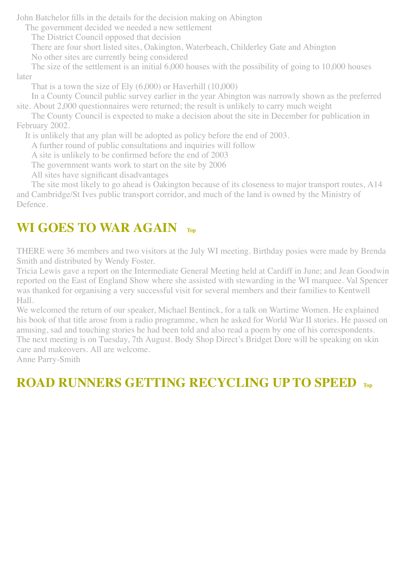John Batchelor fills in the details for the decision making on Abington

The government decided we needed a new settlement

The District Council opposed that decision

 There are four short listed sites, Oakington, Waterbeach, Childerley Gate and Abington No other sites are currently being considered

 The size of the settlement is an initial 6,000 houses with the possibility of going to 10,000 houses later

That is a town the size of Ely (6,000) or Haverhill (10,000)

 In a County Council public survey earlier in the year Abington was narrowly shown as the preferred site. About 2,000 questionnaires were returned; the result is unlikely to carry much weight

 The County Council is expected to make a decision about the site in December for publication in February 2002.

It is unlikely that any plan will be adopted as policy before the end of 2003.

A further round of public consultations and inquiries will follow

A site is unlikely to be confirmed before the end of 2003

The government wants work to start on the site by 2006

All sites have significant disadvantages

 The site most likely to go ahead is Oakington because of its closeness to major transport routes, A14 and Cambridge/St Ives public transport corridor, and much of the land is owned by the Ministry of Defence.

## <span id="page-9-0"></span>**WI GOES TO WAR AGAIN [Top](#page-0-2)**

THERE were 36 members and two visitors at the July WI meeting. Birthday posies were made by Brenda Smith and distributed by Wendy Foster.

Tricia Lewis gave a report on the Intermediate General Meeting held at Cardiff in June; and Jean Goodwin reported on the East of England Show where she assisted with stewarding in the WI marquee. Val Spencer was thanked for organising a very successful visit for several members and their families to Kentwell Hall.

We welcomed the return of our speaker, Michael Bentinck, for a talk on Wartime Women. He explained his book of that title arose from a radio programme, when he asked for World War II stories. He passed on amusing, sad and touching stories he had been told and also read a poem by one of his correspondents. The next meeting is on Tuesday, 7th August. Body Shop Direct's Bridget Dore will be speaking on skin care and makeovers. All are welcome.

Anne Parry-Smith

# <span id="page-9-1"></span>**ROAD RUNNERS GETTING RECYCLING UP TO SPEED [Top](#page-0-2)**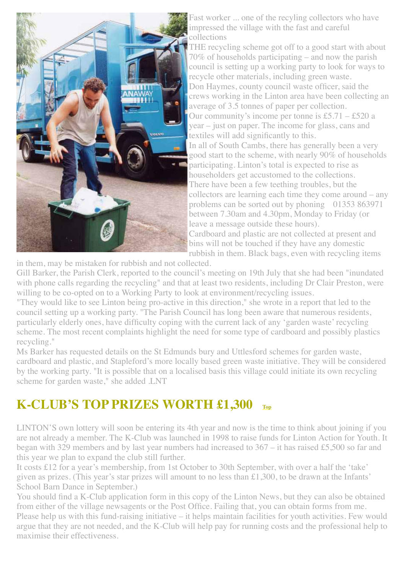

Fast worker ... one of the recyling collectors who have impressed the village with the fast and careful collections

THE recycling scheme got off to a good start with about 70% of households participating – and now the parish council is setting up a working party to look for ways to recycle other materials, including green waste. Don Haymes, county council waste officer, said the crews working in the Linton area have been collecting an average of 3.5 tonnes of paper per collection. Our community's income per tonne is £5.71 – £520 a year – just on paper. The income for glass, cans and textiles will add significantly to this. In all of South Cambs, there has generally been a very good start to the scheme, with nearly 90% of households participating. Linton's total is expected to rise as householders get accustomed to the collections. There have been a few teething troubles, but the collectors are learning each time they come around – any problems can be sorted out by phoning 01353 863971 between 7.30am and 4.30pm, Monday to Friday (or leave a message outside these hours). Cardboard and plastic are not collected at present and bins will not be touched if they have any domestic

rubbish in them. Black bags, even with recycling items

in them, may be mistaken for rubbish and not collected.

Gill Barker, the Parish Clerk, reported to the council's meeting on 19th July that she had been "inundated with phone calls regarding the recycling" and that at least two residents, including Dr Clair Preston, were willing to be co-opted on to a Working Party to look at environment/recycling issues.

"They would like to see Linton being pro-active in this direction," she wrote in a report that led to the council setting up a working party. "The Parish Council has long been aware that numerous residents, particularly elderly ones, have difficulty coping with the current lack of any 'garden waste' recycling scheme. The most recent complaints highlight the need for some type of cardboard and possibly plastics recycling."

Ms Barker has requested details on the St Edmunds bury and Uttlesford schemes for garden waste, cardboard and plastic, and Stapleford's more locally based green waste initiative. They will be considered by the working party. "It is possible that on a localised basis this village could initiate its own recycling scheme for garden waste," she added .LNT

#### **K-CLUB'S TOP PRIZES WORTH £1,300 [Top](#page-0-2)**

LINTON'S own lottery will soon be entering its 4th year and now is the time to think about joining if you are not already a member. The K-Club was launched in 1998 to raise funds for Linton Action for Youth. It began with 329 members and by last year numbers had increased to 367 – it has raised £5,500 so far and this year we plan to expand the club still further.

It costs £12 for a year's membership, from 1st October to 30th September, with over a half the 'take' given as prizes. (This year's star prizes will amount to no less than £1,300, to be drawn at the Infants' School Barn Dance in September.)

You should find a K-Club application form in this copy of the Linton News, but they can also be obtained from either of the village newsagents or the Post Office. Failing that, you can obtain forms from me. Please help us with this fund-raising initiative – it helps maintain facilities for youth activities. Few would argue that they are not needed, and the K-Club will help pay for running costs and the professional help to maximise their effectiveness.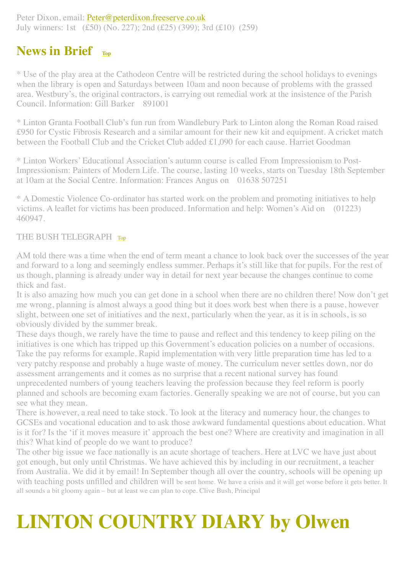Peter Dixon, email: [Peter@peterdixon.freeserve.co.uk](mailto:Peter@peterdixon.freeserve.co.uk) July winners: 1st (£50) (No. 227); 2nd (£25) (399); 3rd (£10) (259)

#### <span id="page-11-0"></span>**News in Brief [Top](#page-0-2)**

\* Use of the play area at the Cathodeon Centre will be restricted during the school holidays to evenings when the library is open and Saturdays between 10am and noon because of problems with the grassed area. Westbury's, the original contractors, is carrying out remedial work at the insistence of the Parish Council. Information: Gill Barker 891001

\* Linton Granta Football Club's fun run from Wandlebury Park to Linton along the Roman Road raised £950 for Cystic Fibrosis Research and a similar amount for their new kit and equipment. A cricket match between the Football Club and the Cricket Club added £1,090 for each cause. Harriet Goodman

\* Linton Workers' Educational Association's autumn course is called From Impressionism to Post-Impressionism: Painters of Modern Life. The course, lasting 10 weeks, starts on Tuesday 18th September at 10am at the Social Centre. Information: Frances Angus on 01638 507251

\* A Domestic Violence Co-ordinator has started work on the problem and promoting initiatives to help victims. A leaflet for victims has been produced. Information and help: Women's Aid on (01223) 460947.

#### <span id="page-11-1"></span>THE BUSH TELEGRAPH [Top](#page-0-2)

AM told there was a time when the end of term meant a chance to look back over the successes of the year and forward to a long and seemingly endless summer. Perhaps it's still like that for pupils. For the rest of us though, planning is already under way in detail for next year because the changes continue to come thick and fast.

It is also amazing how much you can get done in a school when there are no children there! Now don't get me wrong, planning is almost always a good thing but it does work best when there is a pause, however slight, between one set of initiatives and the next, particularly when the year, as it is in schools, is so obviously divided by the summer break.

These days though, we rarely have the time to pause and reflect and this tendency to keep piling on the initiatives is one which has tripped up this Government's education policies on a number of occasions. Take the pay reforms for example. Rapid implementation with very little preparation time has led to a very patchy response and probably a huge waste of money. The curriculum never settles down, nor do assessment arrangements and it comes as no surprise that a recent national survey has found unprecedented numbers of young teachers leaving the profession because they feel reform is poorly planned and schools are becoming exam factories. Generally speaking we are not of course, but you can see what they mean.

There is however, a real need to take stock. To look at the literacy and numeracy hour, the changes to GCSEs and vocational education and to ask those awkward fundamental questions about education. What is it for? Is the 'if it moves measure it' approach the best one? Where are creativity and imagination in all this? What kind of people do we want to produce?

The other big issue we face nationally is an acute shortage of teachers. Here at LVC we have just about got enough, but only until Christmas. We have achieved this by including in our recruitment, a teacher from Australia. We did it by email! In September though all over the country, schools will be opening up with teaching posts unfilled and children will be sent home. We have a crisis and it will get worse before it gets better. It all sounds a bit gloomy again – but at least we can plan to cope. Clive Bush, Principal

# <span id="page-11-2"></span>**LINTON COUNTRY DIARY by Olwen**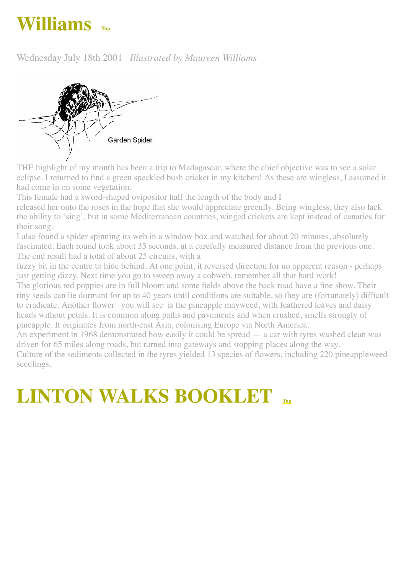# **Williams**

Wednesday July 18th 2001 *Illustrated by Maureen Williams*



THE highlight of my month has been a trip to Madagascar, where the chief objective was to see a solar eclipse. I returned to find a green speckled bush cricket in my kitchen! As these are wingless, I assumed it had come in on some vegetation.

This female had a sword-shaped ovipositor half the length of the body and I

released her onto the roses in the hope that she would appreciate greenfly. Being wingless, they also lack the ability to 'sing', but in some Mediterranean countries, winged crickets are kept instead of canaries for their song.

I also found a spider spinning its web in a window box and watched for about 20 minutes, absolutely fascinated. Each round took about 35 seconds, at a carefully measured distance from the previous one. The end result had a total of about 25 circuits, with a

fuzzy bit in the centre to hide behind. At one point, it reversed direction for no apparent reason - perhaps just getting dizzy. Next time you go to sweep away a cobweb, remember all that hard work!

The glorious red poppies are in full bloom and some fields above the back road have a fine show. Their tiny seeds can lie dormant for up to 40 years until conditions are suitable, so they are (fortunately) difficult to eradicate. Another flower you will see is the pineapple mayweed, with feathered leaves and daisy heads without petals. It is common along paths and pavements and when crushed, smells strongly of pineapple. It originates from north-east Asia, colonising Europe via North America.

An experiment in 1968 demonstrated how easily it could be spread — a car with tyres washed clean was driven for 65 miles along roads, but turned into gateways and stopping places along the way.

Culture of the sediments collected in the tyres yielded 13 species of flowers, including 220 pineappleweed seedlings.

# <span id="page-12-0"></span>**LINTON WALKS BOOKLET**